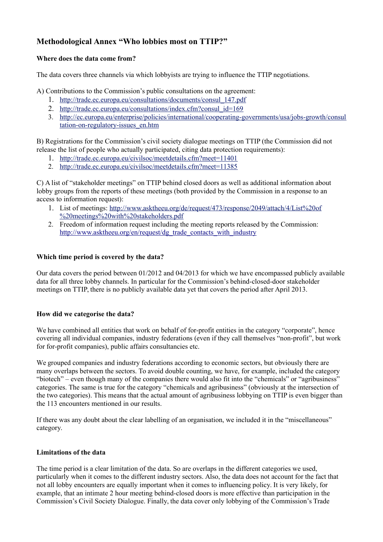# **Methodological Annex "Who lobbies most on TTIP?"**

## **Where does the data come from?**

The data covers three channels via which lobbyists are trying to influence the TTIP negotiations.

A) Contributions to the Commission's public consultations on the agreement:

- 1. [http://trade.ec.europa.eu/consultations/documents/consul\\_147.pdf](http://trade.ec.europa.eu/consultations/documents/consul_147.pdf)
- 2. [http://trade.ec.europa.eu/consultations/index.cfm?consul\\_id=169](http://trade.ec.europa.eu/consultations/index.cfm?consul_id=169)
- 3. [http://ec.europa.eu/enterprise/policies/international/cooperating-governments/usa/jobs-growth/consul](http://ec.europa.eu/enterprise/policies/international/cooperating-governments/usa/jobs-growth/consultation-on-regulatory-issues_en.htm) [tation-on-regulatory-issues\\_en.htm](http://ec.europa.eu/enterprise/policies/international/cooperating-governments/usa/jobs-growth/consultation-on-regulatory-issues_en.htm)

B) Registrations for the Commission's civil society dialogue meetings on TTIP (the Commission did not release the list of people who actually participated, citing data protection requirements):

- 1. <http://trade.ec.europa.eu/civilsoc/meetdetails.cfm?meet=11401>
- 2. <http://trade.ec.europa.eu/civilsoc/meetdetails.cfm?meet=11385>

C) A list of "stakeholder meetings" on TTIP behind closed doors as well as additional information about lobby groups from the reports of these meetings (both provided by the Commission in a response to an access to information request):

- 1. List of meetings: [http://www.asktheeu.org/de/request/473/response/2049/attach/4/List%20of](http://www.asktheeu.org/de/request/473/response/2049/attach/4/List%20of%20meetings%20with%20stakeholders.pdf) [%20meetings%20with%20stakeholders.pdf](http://www.asktheeu.org/de/request/473/response/2049/attach/4/List%20of%20meetings%20with%20stakeholders.pdf)
- 2. Freedom of information request including the meeting reports released by the Commission: [http://www.asktheeu.org/en/request/dg\\_trade\\_contacts\\_with\\_industry](http://www.asktheeu.org/en/request/dg_trade_contacts_with_industry)

### **Which time period is covered by the data?**

Our data covers the period between 01/2012 and 04/2013 for which we have encompassed publicly available data for all three lobby channels. In particular for the Commission's behind-closed-door stakeholder meetings on TTIP, there is no publicly available data yet that covers the period after April 2013.

## **How did we categorise the data?**

We have combined all entities that work on behalf of for-profit entities in the category "corporate", hence covering all individual companies, industry federations (even if they call themselves "non-profit", but work for for-profit companies), public affairs consultancies etc.

We grouped companies and industry federations according to economic sectors, but obviously there are many overlaps between the sectors. To avoid double counting, we have, for example, included the category "biotech" – even though many of the companies there would also fit into the "chemicals" or "agribusiness" categories. The same is true for the category "chemicals and agribusiness" (obviously at the intersection of the two categories). This means that the actual amount of agribusiness lobbying on TTIP is even bigger than the 113 encounters mentioned in our results.

If there was any doubt about the clear labelling of an organisation, we included it in the "miscellaneous" category.

#### **Limitations of the data**

The time period is a clear limitation of the data. So are overlaps in the different categories we used, particularly when it comes to the different industry sectors. Also, the data does not account for the fact that not all lobby encounters are equally important when it comes to influencing policy. It is very likely, for example, that an intimate 2 hour meeting behind-closed doors is more effective than participation in the Commission's Civil Society Dialogue. Finally, the data cover only lobbying of the Commission's Trade